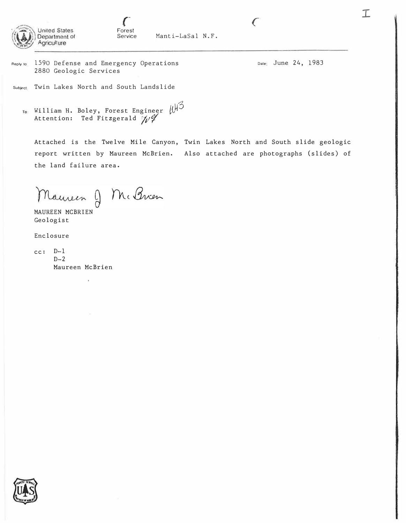

Manti-LaSal N.F.

1590 Defense and Emergency Operations Reply to 2880 Geologic Services

Date: June 24, 1983

 $\epsilon$ 

 $\mathcal{I}$ 

Subject Twin Lakes North and South Landslide

William H. Boley, Forest Engineer  $\mathbb{R}^3$ To Attention: Ted Fitzgerald  $\mathscr{W}$ 

Attached is the Twelve Mile Canyon, Twin Lakes North and South slide geologic report written by Maureen McBrien. Also attached are photographs (slides) of the land failure area.

Mauren J Mi Brien

MAUREEN MCBRIEN Geologist

Enclosure

 $cc: D-1$  $D-2$ Maureen McBrien

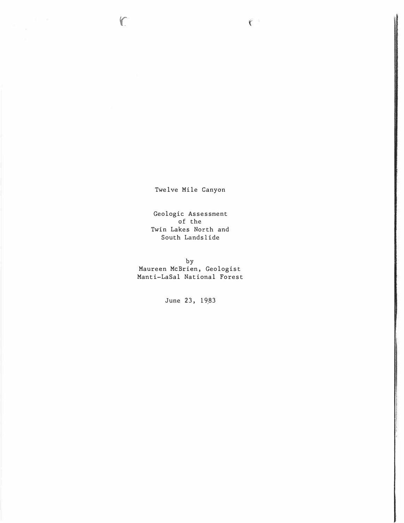Twelve Mile Canyon

 $\zeta$ 

 $\epsilon$ 

Geologic Assessment of the Twin Lakes North and South Lands lide

by Maureen McBrien, Geologist Manti-LaSal National Forest

June 23, 19,83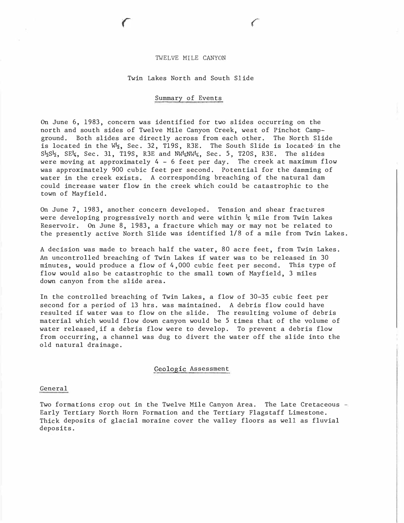#### TWELVE MILE CANYON

# Twin Lakes North and South Slide

## Summary of Events

On June 6, 1983, concern was identified for two slides occurring on the north and south sides of Twelve Mile Canyon Creek, west of Pinchot Campground. Both slides are directly across from each other. The North Slide is located in the  $W_2$ , Sec. 32, T19S, R3E. The South Slide is located in the  $S_2^L S_2^L$ , SE<sup>1</sup><sub>4</sub>, Sec. 31, T19S, R3E and NW<sup>1</sup>4NW<sup>1</sup>4, Sec. 5, T20S, R3E. The slides were moving at approximately 4 - 6 feet per day. The creek at maximum flow was approximately 900 cubic feet per second. Potential for the damming of water in the creek exists. A corresponding breaching of the natural dam could increase water flow in the creek which could be catastrophic to the town of Mayfield.

On June 7, 1983, another concern developed. Tension and shear fractures were developing progressively north and were within  $\frac{1}{4}$  mile from Twin Lakes Reservoir. On June 8, 1983, a fracture which may or may not be related to the presently active North Slide was identified 1/8 of a mile from Twin Lakes.

A decision was made to breach half the water, 80 acre feet, from Twin Lakes. An uncontrolled breaching of Twin Lakes if water was to be released in 30 minutes, would produce a flow of 4 , 000 cubic feet per second. This type of flow would also be catastrophic to the small town of Mayfield, 3 miles down canyon from the slide area.

In the controlled breaching of Twin Lakes, a flow of 30-35 cubic feet per second for a period of 13 hrs. was maintained. A debris flow could have resulted if water was to flow on the slide. The resulting volume of debris material which would flow down canyon would be 5 times that of the volume of water releasedjif a debris flow were to develop. To prevent a debris flow from occurring, a channel was dug to divert the water off the slide into the old natural drainage.

## �eologic Assessment

#### General

Two formations crop out in the Twelve Mile Canyon Area. The Late Cretaceous - Early Tertiary North Horn Formation and the Tertiary Flagstaff Limestone. Thick deposits of glacial moraine cover the valley floors as well as fluvial deposits.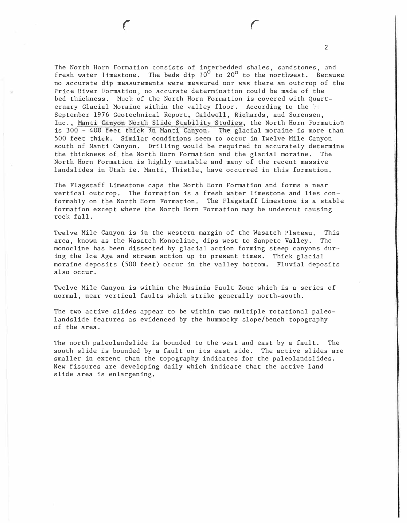The North Horn Formation consists of interbedded shales, sandstones, and fresh water limestone. The beds dip  $10^{\circ}$  to  $20^{\circ}$  to the northwest. Because no accurate dip measurements were measured nor was there an outcrop of the Price River Formation, no accurate determination could be made of the bed thickness. Much of the North Horn Formation is covered with Quarternary Glacial Moraine within the valley floor. According to the 10 September 1976 Geotechnical Report, Caldwell, Richards, and Sorensen, Inc., Manti Canyon North Slide Stability Studies, the North Horn Formation is 300 - 400 feet thick in Manti Canyon. The glacial moraine is more than 500 feet thick. Similar conditions seem to occur in Twelve Mile Canyon south of Manti Canyon. Drilling would be required to accurately determine the thickness of the North Horn Format�on and the glacial moraine. The North Horn Formation is highly unstable and many of the recent massive landslides in Utah ie. Manti, Thistle, have occurred in this formation.

2

 $\epsilon$ 

The Flagstaff Limestone caps the North Horn Formation and forms a near vertical outcrop. The formation is a fresh water limestone and lies conformably on the North Horn Formation. The Flagstaff Limestone is a stable formation except where the North Horn Formation may be undercut causing rock fall.

Twelve Mile Canyon is in the western margin of the Wasatch Plateau. This area, known as the Wasatch Monocline, dips west to Sanpete Valley. The monocline has been dissected by glacial action forming steep canyons during the Ice Age and stream action up to present times. Thick glacial moraine deposits (500 feet) occur in the valley bottom. Fluvial deposits also occur.

Twelve Mile Canyon is within the Musinia Fault Zone which is a series of normal, near vertical faults which strike generally north-south.

The two active slides appear to be within two multiple rotational paleolandslide features as evidenced by the hummocky slope/bench topography of the area.

The north paleolandslide is bounded to the west and east by a fault. The south slide is bounded by a fault on its east side. The active slides are smaller in extent than the topography indicates for the paleolandslides. New fissures are developing daily which indicate that the active land slide area is enlargening.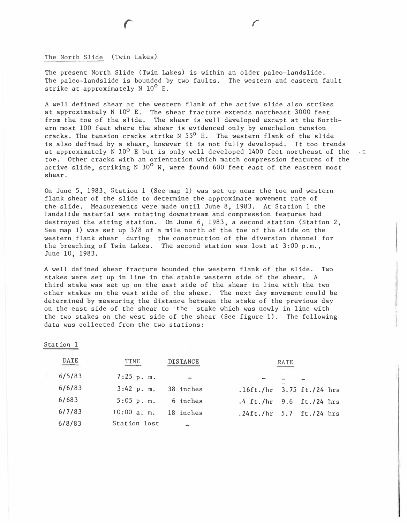The North Slide (Twin Lakes)

r

The present North Slide (Twin Lakes) is within an older paleo-landslide. The paleo-landslide is bounded by two faults. The western and eastern fault strike at approximately  $N$  10<sup>0</sup> E.

r

A well defined shear at the western flank of the active slide also strikes at approximately N  $10^{\sf o}$  E. The shear fracture extends northeast 3000 feet from the toe of the slide. The shear is well developed except at the Northern most 100 feet where the shear is evidenced only by enechelon tension cracks. The tension cracks strike N  $55^{\circ}$  E. The western flank of the slide is also defined by a shear, however it is not fully developed. It too trends at approximately N  $10^0$  E but is only well developed 1400 feet northeast of the toe. Other cracks with an orientation which match compression features of the active slide, striking N 30<sup>0</sup> W, were found 600 feet east of the eastern most shear.

On June 5, 1983, Station 1 (See map 1) was set up near the toe and western flank shear of the slide to determine the approximate movement rate of the slide. Measurements were made until June 8, 1983. At Station 1 the landslide material was rotating downstream and compression features had destroyed the siting station. On June  $6, 1983, a$  second station (Station 2, See map 1) was set up 3/8 of a mile north of the toe of the slide on the western. flank shear during the construction of the diversion channel for the breaching of Twin Lakes. The second station was lost at  $3:00$  p.m., June 10, 1983.

A well defined shear fracture bounded the western flank of the slide. Two stakes were set up in line in the stable western side of the shear. A third stake was set up on the east side of the shear in line with the two other stakes on the west side of the shear. The next day movement could be determined by measuring the distance between the stake of the previous day on the east side of the shear to ·the stake which was newly in line with the two stakes on the west side of the shear (See figure 1). The following data was collected from the two stations:

Station 1

| DATE   | TIME                 | <b>DISTANCE</b> | RATE                        |  |
|--------|----------------------|-----------------|-----------------------------|--|
| 6/5/83 | $7:25$ p.m.          |                 |                             |  |
| 6/6/83 | $3:42$ p.m.          | 38 inches       | .16ft./hr $3.75$ ft./24 hrs |  |
| 6/683  | $5:05$ p.m. 6 inches |                 | .4 ft./hr $9.6$ ft./24 hrs  |  |
| 6/7/83 | $10:00$ a.m.         | 18 inches       | .24ft./hr $5.7$ ft./24 hrs  |  |
| 6/8/83 | Station lost         |                 |                             |  |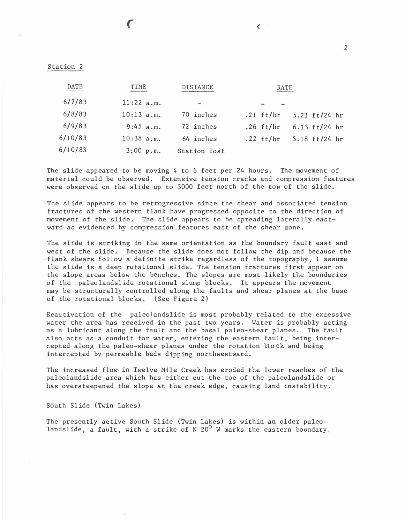|  | Station |  |
|--|---------|--|
|  |         |  |

r

| DATE    | TIME         | <b>DISTANCE</b>          | RATE                           |  |
|---------|--------------|--------------------------|--------------------------------|--|
| 6/7/83  | 11:22 a.m.   | $\overline{\phantom{a}}$ |                                |  |
| 6/8/83  | $10:13$ a.m. | 70 inches                | .21 $ft/hr$<br>5.23 ft/24 hr   |  |
| 6/9/83  | 9:45 a.m.    | 72 inches                | 6.13 $ft/24$ hr<br>.26 $ft/hr$ |  |
| 6/10/83 | $10:38$ a.m. | 64 inches                | .22 $ft/hr$<br>5.18 ft/24 hr   |  |
| 6/10/83 | 3:00 p.m.    | Station lost             |                                |  |

The slide appeared to be moving 4 to 6 feet per 24 hours. The movement of material could be observed. Extensive tension cracks and compression features were observed on the slide up to 3000 feet north of the toe of the slide.

The slide appears to be retrogressive since the shear and associated tension fractures of the western flank have progressed opposite to the direction of movement of the slide. The slide appears to be spreading laterally eastward as evidenced by compression features east of the shear zone.

The slide is striking in the same orientation as the boundary fault east and west of the slide. Because the slide does not follow the dip and because the flank shears follow a definite strike regardless of the topography, I assume the slide is a deep rotational slide. The tension fractures first appear on the slope areas below the benches. The slopes are most likely the boundaries of the ,paleolandslide rotational slump blocks. It appears the movement may be structurally controlled along the faults and shear planes at the base of the rotational blocks. (See Figure 2)

Reactivation of the paleolandslide is most probably related to the excessive water the area has received in the past two years. Water is probably acting as a lubricant along the fault and the basal paleo-shear planes. The fault also acts as a conduit for water, entering the eastern fault, being intercepted along the paleo-shear planes under the rotation blo ck and being intercepted by permeable beds dipping northwestward.

The increased flow in Twelve Mile Creek has eroded the lower reaches of the paleolandslide area which has either cut the toe of the paleolandslide or has oversteepened the slope at the creek edge, causing land instability.

South Slide (Twin Lakes)

The presently active South Slide (Twin Lakes) is within an older paleolandslide, a fault, with a strike of N  $20^{\circ}$  W marks the eastern boundary.

 $\overline{C}$ 

2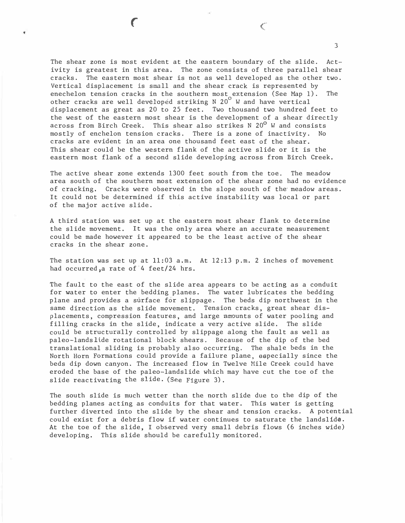The shear zone is most evident at the eastern boundary of the slide. Activity is greatest in this area. The zone consists of three parallel shear cracks. The eastern most shear is not as well developed as the other two. Vertical displacement is small and the shear crack is represented by enechelon tension cracks in the southern most extension (See Map 1). The<br>other cracks are well dev¢loped striking N 20<sup>0</sup> W and have vertical displacement as great as 20 to 25 feet. Two thousand two hundred feet to the west of the eastern most shear is the development of a shear directly across from Birch Creek. This shear also strikes N  $20^{\circ}$  W and consists mostly of enchelon tension cracks. There is a zone of inactivity. No cracks are evident in an area one thousand feet east of the shear. This shear could be the western flank of the active slide or it is the eastern most flank of a second slide developing across from Birch Creek.

r

The active shear zone extends 1300 feet south from the toe. The meadow area south of the southern most extension of the shear zone had no evidence of cracking. Cracks were observed in the slope south of the'meadow areas. It could not be determined if this active instability was local or part of the major active slide.

A third station was set up at the eastern most shear flank to determine the slide movement. It was the only area where an accurate measurement could be made however it appeared to be the least active of the shear cracks in the shear zone.

The station was set up at  $11:03$  a.m. At  $12:13$  p.m. 2 inches of movement had occurred, a rate of 4 feet/24 hrs.

The fault to the east of the slide area appears to be acting as a conduit for water to enter the bedding planes. The water lubricates the bedding plane and provides a surface for slippage. The beds dip northwest in the same direction as the slide movement. Tension cracks, great shear displacements, compression features, and large amounts of water pooling and filling cracks in the slide, indicate a very active slide. The slide could be structurally controlled by slippage along the fault as well as paleo-landslide rotational block shears. Because of the dip of the bed translational sliding is probably also occurring. The shale beds in the North Horn Formations could provide a failure plane, especially since the beds dip down canyon. The increased flow in Twelve Mile Creek could have eroded the base of the paleo-landslide which may have cut the toe of the slide reactivating the slide. (See Figure 3).

The south slide is much wetter than the north slide due to the dip of the bedding planes acting as conduits for that water. This water is getting further diverted into the slide by the shear and tension cracks. A potential could exist for a debris flow if water continues to saturate the landslide. At the toe of the slide, I observed very small debris flows (6 inches wide) developing. This slide should be carefully monitored.

3

 $\mathcal{C}$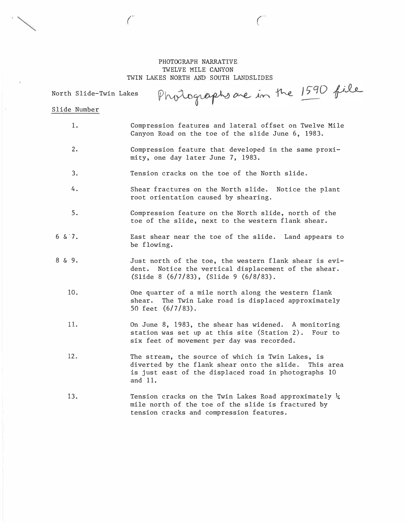# PHOTOGRAPH NARRATIVE TWELVE MILE CANYON TWIN LAKES NORTH AND SOUTH LANDSLIDES

Photographs are in the 1590 file North Slide-Twin Lakes

 $\binom{1}{2}$ 

### Slide Number

1.

. <br>  $\sim$  (

- Compression features and lateral offset on Twelve Mile Canyon Road on the toe of the slide June 6, 1983.
- 2. Compression feature that developed in the same proximity, one day later June 7, 1983.
- 3. Tension cracks on the toe of the North slide.
- 4. Shear fractures on the North slide. Notice the plant root orientation caused by shearing.
- 5. Compression feature on the North slide, north of the toe of the slide, next to the western flank shear.
- $6 \& 7.$ East shear near the toe of the slide. Land appears to be flowing.
- 8 & 9. Just north of the toe, the western flank shear is evident. Notice the vertical displacement of the shear. (Slide 8 (6/7/83) , (Slide 9 (6/8/83).
	- 10. One quarter of a mile north along the western flank shear. The Twin Lake road is displaced approximately 50 feet (6/7/83) .
	- 11. On June 8, 1983, the shear has widened. A monitoring station was set up at this site (Station 2). Four to six feet of movement per day was recorded.
	- 12. The stream, the source of which is Twin Lakes, is diverted by the flank shear onto the slide. This area is just east of the displaced road in photographs 10 and 11.
	- 13. Tension cracks on the Twin Lakes Road approximately  $\frac{1}{4}$ mile north of the toe of the slide is fractured by tension cracks and compression features.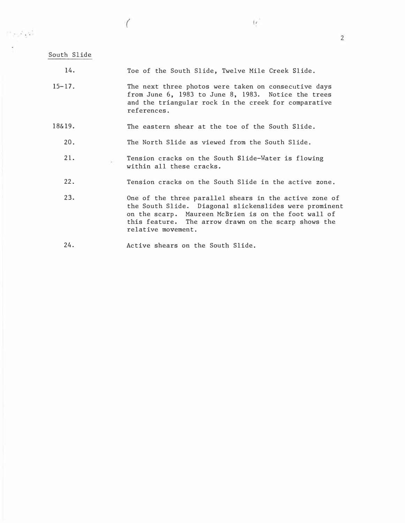$\mathcal{C}^{\infty}$  and  $\mathcal{C}^{\infty}$ 

 $\bigg($ 

<sup>1</sup><sup>4</sup>. Toe of the South Slide, Twelve Mile Creek Slide.

 $\left( r\right)$ 

- $15 17$ . The next three photos were taken on consecutive days from June 6, 1983 to June 8, 1983. Notice the trees and the triangular rock in the creek for comparative references.
- 18&19. The eastern shear at the toe of the South Slide.
	- 20. The North Slide as viewed from the South Slide.
	- 21. Tension cracks on the South Slide-Water is flowing GŚ. within all these cracks.
	- 22. Tension cracks on the South Slide in the active zone.
	- 23. One of the three parallel shears in the active zone of the South Slide. Diagonal slickenslides were prominent on the scarp. Maureen McBrien is on the foot wall of this feature. The arrow drawn on the scarp shows the relative movement.
	- 24. Active shears on the South Slide.